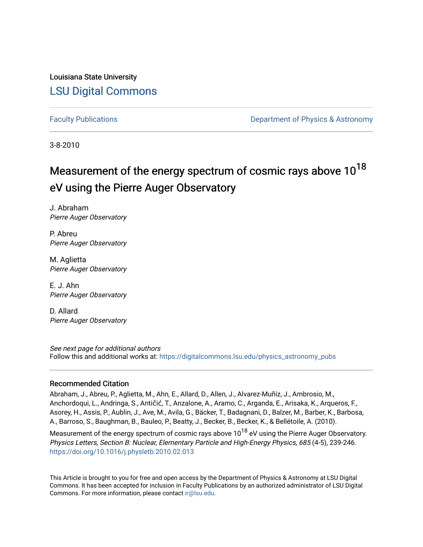Louisiana State University [LSU Digital Commons](https://digitalcommons.lsu.edu/)

[Faculty Publications](https://digitalcommons.lsu.edu/physics_astronomy_pubs) **Example 2** Constant Department of Physics & Astronomy

3-8-2010

# Measurement of the energy spectrum of cosmic rays above  $10^{18}$ eV using the Pierre Auger Observatory

J. Abraham Pierre Auger Observatory

P. Abreu Pierre Auger Observatory

M. Aglietta Pierre Auger Observatory

E. J. Ahn Pierre Auger Observatory

D. Allard Pierre Auger Observatory

See next page for additional authors Follow this and additional works at: [https://digitalcommons.lsu.edu/physics\\_astronomy\\_pubs](https://digitalcommons.lsu.edu/physics_astronomy_pubs?utm_source=digitalcommons.lsu.edu%2Fphysics_astronomy_pubs%2F3280&utm_medium=PDF&utm_campaign=PDFCoverPages) 

### Recommended Citation

Abraham, J., Abreu, P., Aglietta, M., Ahn, E., Allard, D., Allen, J., Alvarez-Muñiz, J., Ambrosio, M., Anchordoqui, L., Andringa, S., Antičić, T., Anzalone, A., Aramo, C., Arganda, E., Arisaka, K., Arqueros, F., Asorey, H., Assis, P., Aublin, J., Ave, M., Avila, G., Bäcker, T., Badagnani, D., Balzer, M., Barber, K., Barbosa, A., Barroso, S., Baughman, B., Bauleo, P., Beatty, J., Becker, B., Becker, K., & Bellétoile, A. (2010).

Measurement of the energy spectrum of cosmic rays above  $10^{18}$  eV using the Pierre Auger Observatory. Physics Letters, Section B: Nuclear, Elementary Particle and High-Energy Physics, 685 (4-5), 239-246. <https://doi.org/10.1016/j.physletb.2010.02.013>

This Article is brought to you for free and open access by the Department of Physics & Astronomy at LSU Digital Commons. It has been accepted for inclusion in Faculty Publications by an authorized administrator of LSU Digital Commons. For more information, please contact [ir@lsu.edu](mailto:ir@lsu.edu).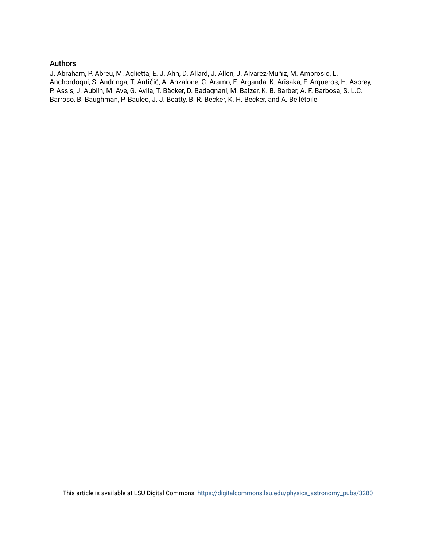## Authors

J. Abraham, P. Abreu, M. Aglietta, E. J. Ahn, D. Allard, J. Allen, J. Alvarez-Muñiz, M. Ambrosio, L. Anchordoqui, S. Andringa, T. Antičić, A. Anzalone, C. Aramo, E. Arganda, K. Arisaka, F. Arqueros, H. Asorey, P. Assis, J. Aublin, M. Ave, G. Avila, T. Bäcker, D. Badagnani, M. Balzer, K. B. Barber, A. F. Barbosa, S. L.C. Barroso, B. Baughman, P. Bauleo, J. J. Beatty, B. R. Becker, K. H. Becker, and A. Bellétoile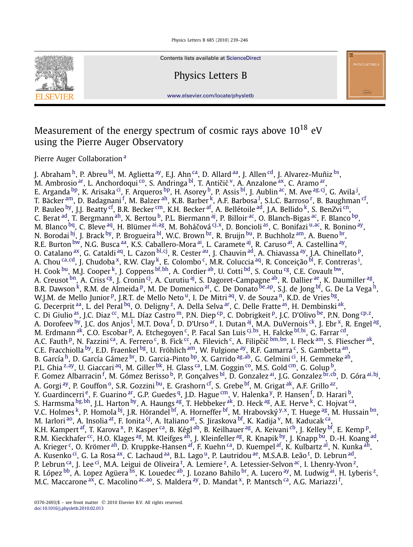

Contents lists available at [ScienceDirect](http://www.ScienceDirect.com/)

Physics Letters B

[www.elsevier.com/locate/physletb](http://www.elsevier.com/locate/physletb)

# Measurement of the energy spectrum of cosmic rays above  $10^{18}$  eV using the Pierre Auger Observatory

Pierre Auger Coll[a](#page-3-0)boration<sup>a</sup>

J. Abraham [h,](#page-3-0) P. Abreu [bl,](#page-4-0) M. Aglietta [ay,](#page-4-0) E.J. Ahn <sup>ca</sup>, D. Allard [aa,](#page-4-0) J. Allen <sup>cd</sup>, J. Alvarez-Muñiz [bs,](#page-4-0) M. Ambrosio [ar,](#page-4-0) L. Anchordoqui <sup>co</sup>, S. Andringa <sup>bl</sup>, T. Antičić<sup>v</sup>, A. Anzalone <sup>ax</sup>, C. Aramo ar, E. Arganda <sup>bp</sup>, K. Arisaka <sup>ci</sup>, F. Arqueros <sup>bp</sup>, H. Asorey <sup>b</sup>, P. Assis <sup>bl</sup>, J. Aublin <sup>ac</sup>, M. Ave <sup>[ag](#page-4-0),c[j](#page-3-0)</sup>, G. Avila <sup>j</sup>, T. Bäcker <sup>am</sup>, D. Badagnani <sup>[f](#page-3-0)</sup>, M. Ba[l](#page-3-0)ze[r](#page-3-0) <sup>ah</sup>, K.B. Barber <sup>k</sup>, A.F. Barbosa <sup>l</sup>, S.L.C. Barroso <sup>r</sup>, B. Baughman <sup>cf</sup>, P. Bauleo <sup>by</sup>, J.J. Beatty <sup>cf</sup>, B.R. Becker <sup>cm</sup>, K.H. Becker <sup>af</sup>, A. Bellétoile <sup>ad</sup>, J.A. Bellido <sup>k</sup>, S. BenZvi <sup>cn</sup>, C. Berat <sup>ad</sup>, T. Bergmann <sup>ah</sup>, X. Bertou <sup>b</sup>, P.L. Biermann <sup>aj</sup>, P. Billoir <sup>ac</sup>, O. Blanch-Bigas <sup>ac</sup>, F. Blanco <sup>bp</sup>, M. Blanco <sup>bq</sup>, C. Bleve <sup>aq</sup>, H. Blümer <sup>[ai](#page-4-0), ag</sup>, M. Boháčová <sup>[cj](#page-4-0),x</sup>, D. Boncioli [as,](#page-4-0) C. Bonifazi <s[u](#page-3-0)p>u, ac</sup>, R. Bonino <sup>ay</sup>, N. Borodai <sup>bj</sup>, J. Brack <sup>by</sup>, P. Brogueira <sup>bl</sup>, W.C. Brown <sup>bz</sup>, R. Bruijn <sup>bu</sup>, P. Buchholz <sup>am</sup>, A. Bueno <sup>br</sup>, R.E. Burton <sup>bw</sup>, N.G. Busca <sup>aa</sup>, K.S. Caballero-Mora <sup>ai</sup>, L. Caramete <sup>aj</sup>, R. Caruso <sup>at</sup>, A. Castellina <sup>ay</sup>, O. Catalano [ax,](#page-4-0) G. Cataldi <sup>aq</sup>, L. Cazon <sup>[bl](#page-4-0), cj</sup>, R. Cester <sup>au</sup>, J. Chauvin <sup>ad</sup>, A. Chiavassa <sup>ay</sup>, J.A. Chinellato <sup>p</sup>, A. Chou <sup>[ca](#page-4-0),cd</sup>, J. Chudoba <sup>x</sup>, R.W. Clay <sup>k</sup>, E. Colombo <sup>c</sup>, M.R. Colucc[i](#page-3-0)a <sup>aq</sup>, R. Conceição <sup>bl</sup>, F. Contreras <sup>i</sup>, H. Cook [bu,](#page-4-0) M.J. Cooper [k,](#page-3-0) J. Coppens [bf](#page-4-0)*,*[bh,](#page-4-0) A. Cordier [ab,](#page-4-0) U. Cotti [bd,](#page-4-0) S. Coutu [cg,](#page-4-0) C.E. Covault [bw,](#page-4-0) A. Creusot <sup>bn</sup>, A. Criss <sup>cg</sup>, J. Cronin <sup>cj</sup>, A. Curutiu <sup>aj</sup>, S. Dagoret-Campagne <sup>ab</sup>, R. Dallier <sup>ae</sup>, K. Daumiller <sup>ag</sup>, B.R. Dawson <sup>k</sup>, R.M. de Almeida <sup>p</sup>, M. De Domenico <sup>at</sup>, C. De Donato <sup>[be](#page-4-0), ap</sup>, S.J. de Jong <sup>bf</sup>, G. De La Vega <sup>h</sup>, W.J.M. de Mello Junior <sup>p</sup>, J.R.T. de Mello Neto <sup>u</sup>, I. De Mitri <sup>aq</sup>, V. de Souza <sup>n</sup>, K.D. de Vries <sup>bg</sup>, G. Decerprit [aa,](#page-4-0) L. del Peral <sup>bq</sup>, O. Deligny<sup> z</sup>, A. Della Selva [ar,](#page-4-0) C. Delle Fratte [as,](#page-4-0) H. Dembinski [ak,](#page-4-0) C. Di Giulio [as,](#page-4-0) J.C. Diaz [cc,](#page-4-0) M.L. Díaz Castro [m,](#page-3-0) P.N. Diep [cp,](#page-4-0) C. Dobrigkeit [p,](#page-3-0) J.C. D'Olivo [be,](#page-4-0) P.N. Dong [cp](#page-4-0)*,*[z,](#page-3-0) A. Dorofeev <sup>by</sup>, J.C. dos Anjos <sup>[l](#page-3-0)</sup>, M.T. Dova <sup>[f](#page-3-0)</sup>, D. D'Urso <sup>ar</sup>, I. Dutan <sup>aj</sup>, M.A. DuVernois <sup>ck</sup>, J. Ebr <sup>x</sup>, R. Engel <sup>ag</sup>, M. Erdmann <sup>ak</sup>, C.O. Escobar <sup>p</sup>, A. Etchegoyen <sup>c</sup>, P. Facal San Luis <sup>[cj](#page-4-0),bs</sup>, H. Falcke <sup>[bf](#page-4-0),bi</sup>, G. Farrar <sup>cd</sup>, A.C. Fauth <sup>p</sup>, N. Fazzini <sup>ca</sup>, A. Ferrero <sup>c</sup>, B. Fick <sup>cc</sup>, A. Filevich <sup>c</sup>, A. Filipčič <sup>[bm](#page-4-0),bn</sup>, I. Fleck <sup>am</sup>, S. Fliescher <sup>ak</sup>, C.E. Fracchiolla [by,](#page-4-0) E.D. Fraenkel [bg,](#page-4-0) U. Fröhlich [am,](#page-4-0) W. Fulgione [ay,](#page-4-0) R.F. Gamarra <sup>c</sup>, S. Gambetta [an,](#page-4-0) B. García <sup>h</sup>, D. García Gámez <sup>br</sup>, D. Garcia-Pinto <sup>bp</sup>, X. Garrido <sup>[ag](#page-4-0), ab</sup>, G. Gelmini <sup>ci</sup>, H. Gemmeke <sup>ah</sup>, P.L. Ghia <sup>[z](#page-3-0),ay</sup>, U. Giaccari <sup>aq</sup>, M. Giller <sup>bk</sup>, H. Glass <sup>ca</sup>, L.M. Goggin <sup>co</sup>, M.S. Gold <sup>cm</sup>, G. Golup <sup>b</sup>, F. Gomez Albarracin <sup>[f](#page-3-0)</sup>, M. Gómez Berisso <sup>b</sup>, P. Gonçalves <sup>bl</sup>, D. Gonzalez <sup>ai</sup>, J.G. Gonzalez <sup>br,cb</sup>, D. Góra <sup>[ai,](#page-4-0)bj</sup>, A. Gorgi <sup>ay</sup>, P. Gouffon <sup>o</sup>, S.R. Gozzini <sup>bu</sup>, E. Grashorn <sup>cf</sup>, S. Grebe <sup>bf</sup>, M. Grigat <sup>ak</sup>, A.F. Grillo <sup>az</sup>, Y. Guardincerri <sup>e</sup>, F. Guarino <sup>ar</sup>, G.P. Guedes <sup>q</sup>, J.D. Hague <sup>cm</sup>, V. Halenka <sup>y</sup>, P. Hansen <sup>[f](#page-3-0)</sup>, D. Harari <sup>b</sup>, S. Harmsma <sup>[bg](#page-4-0), bh</sup>, J.L. Harton <sup>by</sup>, A. Haungs <sup>ag</sup>, T. Hebbeker <sup>ak</sup>, D. Heck <sup>ag</sup>, A.E. Herve <sup>k</sup>, C. Hojvat <sup>ca</sup>, V.C. Holmes <sup>k</sup>, P. Homola <sup>bj</sup>, J.R. Hörandel <sup>bf</sup>, A. Horneffer <sup>bf</sup>, M. Hrabovský <sup>[y](#page-3-0),x</sup>, T. Huege <sup>ag</sup>, M. Hussain <sup>bn</sup>, M. Iarlori <sup>ao</sup>, A. Insolia <sup>at</sup>, F. Ionita <sup>cj</sup>, A. Italiano <sup>at</sup>, S. Jiraskova <sup>bf</sup>, K. Kadija <sup>v</sup>, M. Kaducak <sup>ca</sup>, K.H. Kampert [af,](#page-4-0) T. Karova <sup>x</sup>, P. Kasper <sup>ca</sup>, B. Kégl <sup>ab</sup>, B. Keilhauer <sup>ag</sup>, A. Keivani <sup>cb</sup>, J. Kelley <sup>bf</sup>, E. Kemp <sup>p</sup>, R.M. Kieckhafer <sup>cc</sup>, H.O. Klages <sup>ag</sup>, M. Kleifges <sup>ah</sup>, J. Kleinfeller <sup>ag</sup>, R. Knapik <sup>by</sup>, J. Knapp <sup>bu</sup>, D.-H. Koang <sup>ad</sup>, A. Krieger <sup>c</sup>, O. Krömer <sup>ah</sup>, D. Kruppke-Hansen <sup>af</sup>, F. Kuehn <sup>ca</sup>, D. Kuempel <sup>af</sup>, K. Kulbartz <sup>al</sup>, N. Kunka <sup>ah</sup>, A. Kusenko <sup>ci</sup>, G. La Rosa <sup>ax</sup>, C. Lachaud <sup>aa</sup>, B.L. Lago <sup>u</sup>, P. Lau[t](#page-3-0)ridou <sup>ae</sup>, M.S.A.B. Leão <sup>t</sup>, D. Lebrun <sup>ad</sup>, P. Lebrun <sup>ca</sup>, J. Lee <sup>ci</sup>, M.A. Leigui de Oliveira <sup>[t](#page-3-0)</sup>, A. Lemiere <sup>z</sup>, A. Letessier-Selvon <sup>ac</sup>, I. Lhenry-Yvon <sup>z</sup>, R. López <sup>bb</sup>, A. Lopez Agüera <sup>bs</sup>, K. Louedec <sup>ab</sup>, J. Lozano Bahilo <sup>br</sup>, A. Lucero <sup>ay</sup>, M. Ludwig <sup>ai</sup>, H. Lyberis <sup>z</sup>, M.C. M[ac](#page-4-0)carone <sup>ax</sup>, C. Macolino <sup>ac, ao</sup>, S. Maldera <sup>ay</sup>, D. Mandat <sup>x</sup>, P. Mantsch <sup>ca</sup>, A.G. Mariazzi <sup>[f](#page-3-0)</sup>,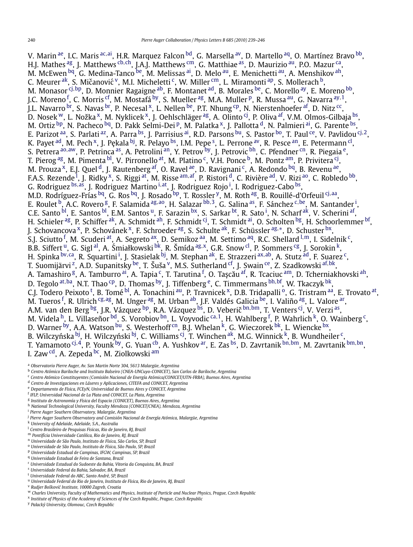<span id="page-3-0"></span>V. Marin [ae,](#page-4-0) I.C. Maris [ac](#page-4-0),[ai,](#page-4-0) H.R. Marquez Falcon [bd,](#page-4-0) G. Marsella [av](#page-4-0), D. Martello [aq,](#page-4-0) O. Martínez Bravo [bb,](#page-4-0) H.J. Mathes [ag,](#page-4-0) J. Matthews [cb](#page-4-0)*,*[ch,](#page-4-0) J.A.J. Matthews [cm,](#page-4-0) G. Matthiae [as,](#page-4-0) D. Maurizio [au,](#page-4-0) P.O. Mazur [ca,](#page-4-0) M. McEwen <sup>bq</sup>, G. Medina-Tanco <sup>be</sup>, M. Melissas <sup>ai</sup>, D. Melo <sup>au</sup>, E. Menichetti <sup>au</sup>, A. Menshikov <sup>ah</sup>, C. Meurer [ak,](#page-4-0) S. Mičanović<sup>v</sup>, M.I. Micheletti<sup>c</sup>, W. Miller [cm,](#page-4-0) L. Miramonti [ap,](#page-4-0) S. Mollerach b, M. Monasor [cj](#page-4-0),[bp,](#page-4-0) D. Monnier Ragaigne <sup>ab</sup>, F. Montanet <sup>ad</sup>, B. Morales <sup>be</sup>, C. Morello <sup>[ay](#page-4-0)</sup>, E. Moreno <sup>bb</sup>, M. Monasor C. Moreno [bb,](#page-4-0) J.C. Moreno <sup>f</sup>, C. Morris <sup>cf</sup>, M. Mostafá <sup>by</sup>, S. Mueller <sup>ag</sup>, M.A. Muller <sup>p</sup>, R. Mussa <sup>au</sup>, G. Navarra <sup>[ay](#page-4-0), 1</sup>, J.L. Navarro <sup>br</sup>, S. Navas <sup>br</sup>, P. Necesal <sup>x</sup>, L. Nellen <sup>be</sup>, P.T. Nhung <sup>cp</sup>, N. Nierstenhoefer <sup>af</sup>, D. Nitz <sup>cc</sup>, D. Nosek <sup>w</sup>, L. Nožka <sup>x</sup>, M. Nyklicek <sup>x</sup>, J. Oehlschläger <sup>ag</sup>, A. Olinto <sup>cj</sup>, P. Oliva <sup>af</sup>, V.M. Olmos-Gilbaja <sup>bs</sup>, M. Ortiz <sup>bp</sup>, N. Pacheco <sup>bq</sup>, D. Pakk Selmi-Dei <sup>p</sup>, M. Palatka<sup>x</sup>, J. Pallotta <sup>d</sup>, N. Palmieri [ai](#page-4-0), G. Parente <sup>bs</sup>, E. Parizot [aa,](#page-4-0) S. Parlati [az,](#page-4-0) A. Parra [bs,](#page-4-0) J. Parrisius [ai,](#page-4-0) R.D. Parsons [bu,](#page-4-0) S. Pastor [bo,](#page-4-0) T. Paul [ce,](#page-4-0) V. Pavlidou [cj](#page-4-0)*,*[2,](#page-5-0) K. Payet <sup>ad</sup>, M. Pech <sup>x</sup>, J. Pękala <sup>bj</sup>, R. Pelayo <sup>bs</sup>, I.M. Pepe <sup>s</sup>, L. Perrone <sup>av</sup>, R. Pesce <sup>an</sup>, E. Petermann <sup>cl</sup>, S. Petrera [ao](#page-4-0),[aw,](#page-4-0) P. Petrinca [as,](#page-4-0) A. Petrolini<sup>an</sup>, Y. Petrov [by,](#page-4-0) J. Petrovic <sup>bh</sup>, C. Pfendner <sup>cn</sup>, R. Piegaia<sup>e</sup>, T. Pierog [ag,](#page-4-0) M. Pimenta [bl,](#page-4-0) V. Pirronello [at,](#page-4-0) M. Platino<sup>c</sup>, V.H. Ponce b, M. Pontz [am,](#page-4-0) P. Privitera [cj,](#page-4-0) M. Prouza <sup>x</sup>, E.J. Quel <sup>d</sup>, J. Rautenberg <sup>af</sup>, O. Ravel <sup>ae</sup>, D. Ravignani <sup>c</sup>, A. Redondo <sup>bq</sup>, B. Revenu <sup>ae</sup>, F.A.S. Rezende<sup>1</sup>, J. Ridky<sup>x</sup>, S. Riggi <sup>at</sup>, M. Risse <sup>[am](#page-4-0),af</sup>, P. Ristori <sup>d</sup>, C. Rivière <sup>ad</sup>, V. Rizi <sup>ao</sup>, C. Robledo <sup>bb</sup>, G. Rodriguez <sup>[bs](#page-4-0),as</sup>, J. Rodriguez Martino <sup>i,at</sup>, J. Rodriguez Rojo <sup>i</sup>, I. Rodriguez-Cabo <sup>bs</sup>, M.D. Rodríguez-Frías [bq,](#page-4-0) G. Ros [bq,](#page-4-0) J. Rosado [bp,](#page-4-0) T. Rossler y, M. Roth [ag,](#page-4-0) B. Rouillé-d'Orfeuil [cj](#page-4-0)*,*[aa,](#page-4-0) E. Roulet <sup>b</sup>, A.C. Rovero <sup>g</sup>, F. Salamida <sup>[ag](#page-4-0), ao</sup>, H. Salazar <sup>[bb](#page-4-0), 3</sup>, G. Salina <sup>as</sup>, F. Sánchez <sup>c, be</sup>, M. Santander <sup>i</sup>, C.E. Santo <sup>bl</sup>, E. Santos <sup>bl</sup>, E.M. Santos <sup>u</sup>, F. Sarazin <sup>bx</sup>, S. Sarkar <sup>bt</sup>, R. Sato <sup>i</sup>, N. Scharf <sup>ak</sup>, V. Scherini <sup>af</sup>, H. Schieler [ag,](#page-4-0) P. Schiffer [ak,](#page-4-0) A. Schmidt [ah,](#page-4-0) F. Schmidt [cj,](#page-4-0) T. Schmidt [ai,](#page-4-0) O. Scholten [bg,](#page-4-0) H. Schoorlemmer [bf,](#page-4-0) J. Schovancova x, P. Schovánek x, F. Schroeder [ag,](#page-4-0) S. Schulte [ak,](#page-4-0) F. Schüssler [ag](#page-4-0)*,*[∗](#page-5-0), D. Schuster [bx,](#page-4-0) S.J. Sciutto <sup>f</sup>, M. Scuderi <sup>at</sup>, A. Segreto <sup>ax</sup>, D. Semikoz <sup>aa</sup>, M. Settimo <sup>aq</sup>, R.C. Shellard <sup>l,m</sup>, I. Sidelnik <sup>c</sup>, B.B. Siffert <sup>u</sup>, G. Sigl <sup>al</sup>, A. Śmiałkowski <sup>bk</sup>, R. Šmída <sup>[ag](#page-4-0),x</sup>, G.R. Snow <sup>cl</sup>, P. Sommers <sup>cg</sup>, J. Sorokin <sup>k</sup>, H. Spinka <sup>[bv](#page-4-0),ca</sup>, R. Squartini <sup>i</sup>, J. Stasielak <sup>bj</sup>, M. Stephan <sup>ak</sup>, E. Strazzeri <sup>[ax](#page-4-0),ab</sup>, A. Stutz <sup>ad</sup>, F. Suarez <sup>c</sup>, T. Suomijärvi z, A.D. Supanitsky [be,](#page-4-0) T. Šuša v, M.S. Sutherland [cf,](#page-4-0) J. Swain [ce,](#page-4-0) Z. Szadkowski [af](#page-4-0)*,*[bk,](#page-4-0) A. Tamashiro <sup>g</sup>, A. Tamburro <sup>ai</sup>, A. Tapia <sup>c</sup>, T. Tarutina <sup>f</sup>, O. Taşcău <sup>af</sup>, R. Tcaciuc <sup>am</sup>, D. Tcherniakhovski <sup>ah</sup>, D. Tegolo [at](#page-4-0), [ba,](#page-4-0) N.T. Thao <sup>cp</sup>, D. Thomas <sup>by</sup>, J. Tiffenberg <sup>e</sup>, C. Timmermans <sup>[bh](#page-4-0), bf</sup>, W. Tkaczyk <sup>bk</sup>, C.J. Todero Peixoto <sup>t</sup>, B. Tomé <sup>bl</sup>, A. Tonachini <sup>au</sup>, P. Travnicek <sup>x</sup>, D.B. Tridapalli <sup>o</sup>, G. Tristram <sup>aa</sup>, E. Trovato <sup>at</sup>, M. Tueros <sup>f</sup>, R. Ulrich <sup>[cg](#page-4-0),ag</sup>, M. Unger <sup>ag</sup>, M. Urban <sup>ab</sup>, J.F. Valdés Galicia <sup>be</sup>, I. Valiño <sup>ag</sup>, L. Valore <sup>ar</sup>, A.M. van den Berg<sup>bg</sup>, J.R. Vázquez <sup>bp</sup>, R.A. Vázquez <sup>bs</sup>, D. Veberič <sup>[bn](#page-4-0), bm</sup>, T. Venters <sup>cj</sup>, V. Verzi <sup>as</sup>, M. Videla <sup>h</sup>, L. Villaseñor <sup>bd</sup>, S. Vorobiov <sup>bn</sup>, L. Voyvodic <sup>[ca](#page-4-0), 1</sup>, H. Wahlberg <sup>f</sup>, P. Wahrlich <sup>k</sup>, O. Wainberg <sup>c</sup>, D. Warner <sup>by</sup>, A.A. Watson <sup>bu</sup>, S. Westerhoff <sup>cn</sup>, B.J. Whelan <sup>k</sup>, G. Wieczorek <sup>bk</sup>, L. Wiencke <sup>bx</sup>, B. Wilczyńska <sup>bj</sup>, H. Wilczyński <sup>bj</sup>, C. Williams <sup>cj</sup>, T. Winchen <sup>ak</sup>, M.G. Winnick <sup>k</sup>, B. Wundheiler <sup>c</sup>, T. Yamamoto [cj](#page-4-0)*,*[4,](#page-5-0) P. Younk [by,](#page-4-0) G. Yuan [cb,](#page-4-0) A. Yushkov [ar,](#page-4-0) E. Zas [bs,](#page-4-0) D. Zavrtanik [bn](#page-4-0)*,*[bm,](#page-4-0) M. Zavrtanik [bm](#page-4-0)*,*[bn,](#page-4-0) I. Zaw [cd,](#page-4-0) A. Zepeda [bc,](#page-4-0) M. Ziolkowski [am](#page-4-0)

<sup>a</sup> *Observatorio Pierre Auger, Av. San Martin Norte 304, 5613 Malargüe, Argentina*

- <sup>b</sup> *Centro Atómico Bariloche and Instituto Balseiro (CNEA-UNCuyo-CONICET), San Carlos de Bariloche, Argentina*
- <sup>c</sup> *Centro Atómico Constituyentes (Comisión Nacional de Energía Atómica/CONICET/UTN-FRBA), Buenos Aires, Argentina*
- <sup>d</sup> *Centro de Investigaciones en Láseres y Aplicaciones, CITEFA and CONICET, Argentina*
- <sup>e</sup> *Departamento de Física, FCEyN, Universidad de Buenos Aires y CONICET, Argentina*
- <sup>f</sup> *IFLP, Universidad Nacional de La Plata and CONICET, La Plata, Argentina*
- <sup>g</sup> *Instituto de Astronomía y Física del Espacio (CONICET), Buenos Aires, Argentina*
- <sup>h</sup> *National Technological University, Faculty Mendoza (CONICET/CNEA), Mendoza, Argentina*
- <sup>i</sup> *Pierre Auger Southern Observatory, Malargüe, Argentina*
- <sup>j</sup> *Pierre Auger Southern Observatory and Comisión Nacional de Energía Atómica, Malargüe, Argentina*
- <sup>k</sup> *University of Adelaide, Adelaide, S.A., Australia*
- <sup>l</sup> *Centro Brasileiro de Pesquisas Fisicas, Rio de Janeiro, RJ, Brazil*
- <sup>m</sup> *Pontifícia Universidade Católica, Rio de Janeiro, RJ, Brazil*
- <sup>n</sup> *Universidade de São Paulo, Instituto de Física, São Carlos, SP, Brazil*
- <sup>o</sup> *Universidade de São Paulo, Instituto de Física, São Paulo, SP, Brazil* <sup>p</sup> *Universidade Estadual de Campinas, IFGW, Campinas, SP, Brazil*
- <sup>q</sup> *Universidade Estadual de Feira de Santana, Brazil*
- 
- <sup>r</sup> *Universidade Estadual do Sudoeste da Bahia, Vitoria da Conquista, BA, Brazil*
- <sup>s</sup> *Universidade Federal da Bahia, Salvador, BA, Brazil*
- <sup>t</sup> *Universidade Federal do ABC, Santo André, SP, Brazil*
- <sup>u</sup> *Universidade Federal do Rio de Janeiro, Instituto de Física, Rio de Janeiro, RJ, Brazil*
- <sup>v</sup> *Rudjer Boškovi´c Institute, 10000 Zagreb, Croatia*
- <sup>w</sup> *Charles University, Faculty of Mathematics and Physics, Institute of Particle and Nuclear Physics, Prague, Czech Republic*
- <sup>x</sup> *Institute of Physics of the Academy of Sciences of the Czech Republic, Prague, Czech Republic*
- <sup>y</sup> *Palacký University, Olomouc, Czech Republic*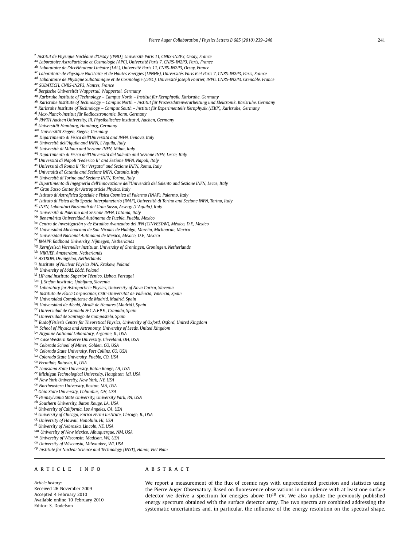- <span id="page-4-0"></span><sup>z</sup> *Institut de Physique Nucléaire d'Orsay (IPNO), Université Paris 11, CNRS-IN2P3, Orsay, France*
- aa *Laboratoire AstroParticule et Cosmologie (APC), Université Paris 7, CNRS-IN2P3, Paris, France*
- ab *Laboratoire de l'Accélérateur Linéaire (LAL), Université Paris 11, CNRS-IN2P3, Orsay, France*
- ac *Laboratoire de Physique Nucléaire et de Hautes Energies (LPNHE), Universités Paris 6 et Paris 7, CNRS-IN2P3, Paris, France*
- ad *Laboratoire de Physique Subatomique et de Cosmologie (LPSC), Université Joseph Fourier, INPG, CNRS-IN2P3, Grenoble, France* ae *SUBATECH, CNRS-IN2P3, Nantes, France*
- af *Bergische Universität Wuppertal, Wuppertal, Germany*
- ag *Karlsruhe Institute of Technology Campus North Institut für Kernphysik, Karlsruhe, Germany*
- ah *Karlsruhe Institute of Technology Campus North Institut für Prozessdatenverarbeitung und Elektronik, Karlsruhe, Germany*
- ai *Karlsruhe Institute of Technology Campus South Institut für Experimentelle Kernphysik (IEKP), Karlsruhe, Germany*
- aj *Max-Planck-Institut für Radioastronomie, Bonn, Germany*
- ak *RWTH Aachen University, III. Physikalisches Institut A, Aachen, Germany*
- al *Universität Hamburg, Hamburg, Germany*
- am *Universität Siegen, Siegen, Germany*
- an *Dipartimento di Fisica dell'Università and INFN, Genova, Italy*
- ao *Università dell'Aquila and INFN, L'Aquila, Italy*
- ap *Università di Milano and Sezione INFN, Milan, Italy*
- aq *Dipartimento di Fisica dell'Università del Salento and Sezione INFN, Lecce, Italy*
- ar *Università di Napoli "Federico II" and Sezione INFN, Napoli, Italy*
- as *Università di Roma II "Tor Vergata" and Sezione INFN, Roma, Italy*
- at *Università di Catania and Sezione INFN, Catania, Italy*
- au *Università di Torino and Sezione INFN, Torino, Italy*
- av *Dipartimento di Ingegneria dell'Innovazione dell'Università del Salento and Sezione INFN, Lecce, Italy*
- aw *Gran Sasso Center for Astroparticle Physics, Italy*
- ax *Istituto di Astrofisica Spaziale e Fisica Cosmica di Palermo (INAF), Palermo, Italy*
- ay *Istituto di Fisica dello Spazio Interplanetario (INAF), Università di Torino and Sezione INFN, Torino, Italy*
- az *INFN, Laboratori Nazionali del Gran Sasso, Assergi (L'Aquila), Italy*
- ba *Università di Palermo and Sezione INFN, Catania, Italy*
- bb *Benemérita Universidad Autónoma de Puebla, Puebla, Mexico*
- bc *Centro de Investigación y de Estudios Avanzados del IPN (CINVESTAV), México, D.F., Mexico*
- bd *Universidad Michoacana de San Nicolas de Hidalgo, Morelia, Michoacan, Mexico*
- be *Universidad Nacional Autonoma de Mexico, Mexico, D.F., Mexico*
- bf *IMAPP, Radboud University, Nijmegen, Netherlands*
- bg *Kernfysisch Versneller Instituut, University of Groningen, Groningen, Netherlands*
- bh *NIKHEF, Amsterdam, Netherlands*
- bi *ASTRON, Dwingeloo, Netherlands*
- bj *Institute of Nuclear Physics PAN, Krakow, Poland*
- bk *University of Łód´z, Łód´z, Poland*
- bl *LIP and Instituto Superior Técnico, Lisboa, Portugal*
- bm *J. Stefan Institute, Ljubljana, Slovenia*
- bn *Laboratory for Astroparticle Physics, University of Nova Gorica, Slovenia*
- bo *Instituto de Física Corpuscular, CSIC-Universitat de València, Valencia, Spain*
- bp *Universidad Complutense de Madrid, Madrid, Spain*
- bq *Universidad de Alcalá, Alcalá de Henares (Madrid), Spain*
- br *Universidad de Granada & C.A.F.P.E., Granada, Spain*
- bs *Universidad de Santiago de Compostela, Spain*
- 
- bt *Rudolf Peierls Centre for Theoretical Physics, University of Oxford, Oxford, United Kingdom*
- bu *School of Physics and Astronomy, University of Leeds, United Kingdom*
- bv *Argonne National Laboratory, Argonne, IL, USA*
- bw *Case Western Reserve University, Cleveland, OH, USA*
- bx *Colorado School of Mines, Golden, CO, USA*
- by *Colorado State University, Fort Collins, CO, USA*
- bz *Colorado State University, Pueblo, CO, USA*
- ca *Fermilab, Batavia, IL, USA*
- cb *Louisiana State University, Baton Rouge, LA, USA*
- cc *Michigan Technological University, Houghton, MI, USA*
- cd *New York University, New York, NY, USA*
- ce *Northeastern University, Boston, MA, USA*
- cf *Ohio State University, Columbus, OH, USA*
- cg *Pennsylvania State University, University Park, PA, USA*
- ch *Southern University, Baton Rouge, LA, USA*
- ci *University of California, Los Angeles, CA, USA*
- cj *University of Chicago, Enrico Fermi Institute, Chicago, IL, USA*
- ck *University of Hawaii, Honolulu, HI, USA*
- cl *University of Nebraska, Lincoln, NE, USA*
- cm *University of New Mexico, Albuquerque, NM, USA*
- 
- cn *University of Wisconsin, Madison, WI, USA*
- co *University of Wisconsin, Milwaukee, WI, USA*
- cp *Institute for Nuclear Science and Technology (INST), Hanoi, Viet Nam*

#### article info abstract

*Article history:* Received 26 November 2009 Accepted 4 February 2010 Available online 10 February 2010 Editor: S. Dodelson

We report a measurement of the flux of cosmic rays with unprecedented precision and statistics using the Pierre Auger Observatory. Based on fluorescence observations in coincidence with at least one surface detector we derive a spectrum for energies above 10<sup>18</sup> eV. We also update the previously published energy spectrum obtained with the surface detector array. The two spectra are combined addressing the systematic uncertainties and, in particular, the influence of the energy resolution on the spectral shape.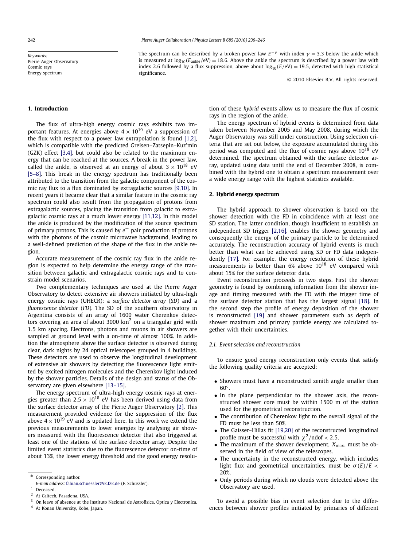<span id="page-5-0"></span>*Keywords:* Pierre Auger Observatory Cosmic rays Energy spectrum

The spectrum can be described by a broken power law  $E^{-\gamma}$  with index  $\gamma = 3.3$  below the ankle which is measured at  $log_{10}(E_{\text{ankle}}/eV) = 18.6$ . Above the ankle the spectrum is described by a power law with index 2.6 followed by a flux suppression, above about  $log_{10}(E/eV) = 19.5$ , detected with high statistical significance.

© 2010 Elsevier B.V. All rights reserved.

#### **1. Introduction**

The flux of ultra-high energy cosmic rays exhibits two important features. At energies above  $4 \times 10^{19}$  eV a suppression of the flux with respect to a power law extrapolation is found [\[1,2\],](#page-9-0) which is compatible with the predicted Greisen–Zatsepin–Kuz'min (GZK) effect [\[3,4\],](#page-9-0) but could also be related to the maximum energy that can be reached at the sources. A break in the power law, called the ankle, is observed at an energy of about  $3 \times 10^{18}$  eV [\[5–8\].](#page-9-0) This break in the energy spectrum has traditionally been attributed to the transition from the galactic component of the cosmic ray flux to a flux dominated by extragalactic sources [\[9,10\].](#page-9-0) In recent years it became clear that a similar feature in the cosmic ray spectrum could also result from the propagation of protons from extragalactic sources, placing the transition from galactic to extragalactic cosmic rays at a much lower energy [\[11,12\].](#page-9-0) In this model the ankle is produced by the modification of the source spectrum of primary protons. This is caused by  $e^{\pm}$  pair production of protons with the photons of the cosmic microwave background, leading to a well-defined prediction of the shape of the flux in the ankle region.

Accurate measurement of the cosmic ray flux in the ankle region is expected to help determine the energy range of the transition between galactic and extragalactic cosmic rays and to constrain model scenarios.

Two complementary techniques are used at the Pierre Auger Observatory to detect extensive air showers initiated by ultra-high energy cosmic rays (UHECR): a *surface detector array* (*SD*) and a *fluorescence detector* (*FD*). The SD of the southern observatory in Argentina consists of an array of 1600 water Cherenkov detectors covering an area of about 3000  $km<sup>2</sup>$  on a triangular grid with 1*.*5 km spacing. Electrons, photons and muons in air showers are sampled at ground level with a on-time of almost 100%. In addition the atmosphere above the surface detector is observed during clear, dark nights by 24 optical telescopes grouped in 4 buildings. These detectors are used to observe the longitudinal development of extensive air showers by detecting the fluorescence light emitted by excited nitrogen molecules and the Cherenkov light induced by the shower particles. Details of the design and status of the Observatory are given elsewhere [\[13–15\].](#page-9-0)

The energy spectrum of ultra-high energy cosmic rays at energies greater than  $2.5 \times 10^{18}$  eV has been derived using data from the surface detector array of the Pierre Auger Observatory [\[2\].](#page-9-0) This measurement provided evidence for the suppression of the flux above  $4 \times 10^{19}$  eV and is updated here. In this work we extend the previous measurements to lower energies by analysing air showers measured with the fluorescence detector that also triggered at least one of the stations of the surface detector array. Despite the limited event statistics due to the fluorescence detector on-time of about 13%, the lower energy threshold and the good energy resolu-

Corresponding author.

<sup>3</sup> On leave of absence at the Instituto Nacional de Astrofisica, Optica y Electronica.

tion of these *hybrid* events allow us to measure the flux of cosmic rays in the region of the ankle.

The energy spectrum of hybrid events is determined from data taken between November 2005 and May 2008, during which the Auger Observatory was still under construction. Using selection criteria that are set out below, the exposure accumulated during this period was computed and the flux of cosmic rays above  $10^{18}$  eV determined. The spectrum obtained with the surface detector array, updated using data until the end of December 2008, is combined with the hybrid one to obtain a spectrum measurement over a wide energy range with the highest statistics available.

#### **2. Hybrid energy spectrum**

The hybrid approach to shower observation is based on the shower detection with the FD in coincidence with at least one SD station. The latter condition, though insufficient to establish an independent SD trigger [\[2,16\],](#page-9-0) enables the shower geometry and consequently the energy of the primary particle to be determined accurately. The reconstruction accuracy of hybrid events is much better than what can be achieved using SD or FD data independently [\[17\].](#page-9-0) For example, the energy resolution of these hybrid measurements is better than 6% above 10<sup>18</sup> eV compared with about 15% for the surface detector data.

Event reconstruction proceeds in two steps. First the shower geometry is found by combining information from the shower image and timing measured with the FD with the trigger time of the surface detector station that has the largest signal [\[18\].](#page-9-0) In the second step the profile of energy deposition of the shower is reconstructed [\[19\]](#page-9-0) and shower parameters such as depth of shower maximum and primary particle energy are calculated together with their uncertainties.

#### *2.1. Event selection and reconstruction*

To ensure good energy reconstruction only events that satisfy the following quality criteria are accepted:

- Showers must have a reconstructed zenith angle smaller than  $60^\circ$ .
- In the plane perpendicular to the shower axis, the reconstructed shower core must be within 1500 m of the station used for the geometrical reconstruction.
- The contribution of Cherenkov light to the overall signal of the FD must be less than 50%.
- The Gaisser–Hillas fit [\[19,20\]](#page-9-0) of the reconstructed longitudinal profile must be successful with  $\chi^2$ /ndof < 2.5.
- The maximum of the shower development,  $X_{\text{max}}$ , must be observed in the field of view of the telescopes.
- The uncertainty in the reconstructed energy, which includes light flux and geometrical uncertainties, must be  $\sigma(E)/E$  < 20%.
- Only periods during which no clouds were detected above the Observatory are used.

To avoid a possible bias in event selection due to the differences between shower profiles initiated by primaries of different

*E-mail address:* [fabian.schuessler@ik.fzk.de](mailto:fabian.schuessler@ik.fzk.de) (F. Schüssler).

<sup>&</sup>lt;sup>1</sup> Deceased.<br><sup>2</sup> At Caltech

At Caltech, Pasadena, USA.

<sup>4</sup> At Konan University, Kobe, Japan.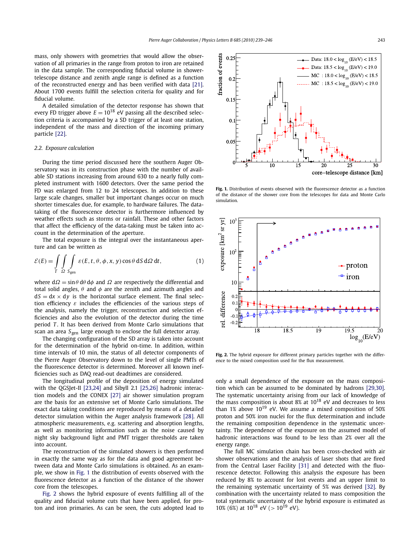mass, only showers with geometries that would allow the observation of all primaries in the range from proton to iron are retained in the data sample. The corresponding fiducial volume in showertelescope distance and zenith angle range is defined as a function of the reconstructed energy and has been verified with data [\[21\].](#page-9-0) About 1700 events fulfill the selection criteria for quality and for fiducial volume.

A detailed simulation of the detector response has shown that every FD trigger above  $E = 10^{18}$  eV passing all the described selection criteria is accompanied by a SD trigger of at least one station, independent of the mass and direction of the incoming primary particle [\[22\].](#page-9-0)

#### *2.2. Exposure calculation*

During the time period discussed here the southern Auger Observatory was in its construction phase with the number of available SD stations increasing from around 630 to a nearly fully completed instrument with 1600 detectors. Over the same period the FD was enlarged from 12 to 24 telescopes. In addition to these large scale changes, smaller but important changes occur on much shorter timescales due, for example, to hardware failures. The datataking of the fluorescence detector is furthermore influenced by weather effects such as storms or rainfall. These and other factors that affect the efficiency of the data-taking must be taken into account in the determination of the aperture.

The total exposure is the integral over the instantaneous aperture and can be written as

$$
\mathcal{E}(E) = \int\int\int\int\limits_{\Omega} \mathcal{E}(E, t, \theta, \phi, x, y) \cos \theta \, dS \, d\Omega \, dt, \tag{1}
$$

where  $d\Omega = \sin \theta \, d\theta \, d\phi$  and  $\Omega$  are respectively the differential and total solid angles,  $\theta$  and  $\phi$  are the zenith and azimuth angles and  $dS = dx \times dy$  is the horizontal surface element. The final selection efficiency *ε* includes the efficiencies of the various steps of the analysis, namely the trigger, reconstruction and selection efficiencies and also the evolution of the detector during the time period *T* . It has been derived from Monte Carlo simulations that scan an area *S*gen large enough to enclose the full detector array.

The changing configuration of the SD array is taken into account for the determination of the hybrid on-time. In addition, within time intervals of 10 min, the status of all detector components of the Pierre Auger Observatory down to the level of single PMTs of the fluorescence detector is determined. Moreover all known inefficiencies such as DAQ read-out deadtimes are considered.

The longitudinal profile of the deposition of energy simulated with the QGSJet-II [\[23,24\]](#page-9-0) and Sibyll 2.1 [\[25,26\]](#page-9-0) hadronic interaction models and the CONEX [\[27\]](#page-9-0) air shower simulation program are the basis for an extensive set of Monte Carlo simulations. The exact data taking conditions are reproduced by means of a detailed detector simulation within the Auger analysis framework [\[28\].](#page-9-0) All atmospheric measurements, e.g. scattering and absorption lengths, as well as monitoring information such as the noise caused by night sky background light and PMT trigger thresholds are taken into account.

The reconstruction of the simulated showers is then performed in exactly the same way as for the data and good agreement between data and Monte Carlo simulations is obtained. As an example, we show in Fig. 1 the distribution of events observed with the fluorescence detector as a function of the distance of the shower core from the telescopes.

Fig. 2 shows the hybrid exposure of events fulfilling all of the quality and fiducial volume cuts that have been applied, for proton and iron primaries. As can be seen, the cuts adopted lead to



Fig. 1. Distribution of events observed with the fluorescence detector as a function of the distance of the shower core from the telescopes for data and Monte Carlo simulation.



**Fig. 2.** The hybrid exposure for different primary particles together with the difference to the mixed composition used for the flux measurement.

only a small dependence of the exposure on the mass composition which can be assumed to be dominated by hadrons [\[29,30\].](#page-9-0) The systematic uncertainty arising from our lack of knowledge of the mass composition is about 8% at  $10^{18}$  eV and decreases to less than  $1\%$  above  $10^{19}$  eV. We assume a mixed composition of 50% proton and 50% iron nuclei for the flux determination and include the remaining composition dependence in the systematic uncertainty. The dependence of the exposure on the assumed model of hadronic interactions was found to be less than 2% over all the energy range.

The full MC simulation chain has been cross-checked with air shower observations and the analysis of laser shots that are fired from the Central Laser Facility [\[31\]](#page-9-0) and detected with the fluorescence detector. Following this analysis the exposure has been reduced by 8% to account for lost events and an upper limit to the remaining systematic uncertainty of 5% was derived [\[32\].](#page-9-0) By combination with the uncertainty related to mass composition the total systematic uncertainty of the hybrid exposure is estimated as 10% (6%) at  $10^{18}$  eV ( $> 10^{19}$  eV).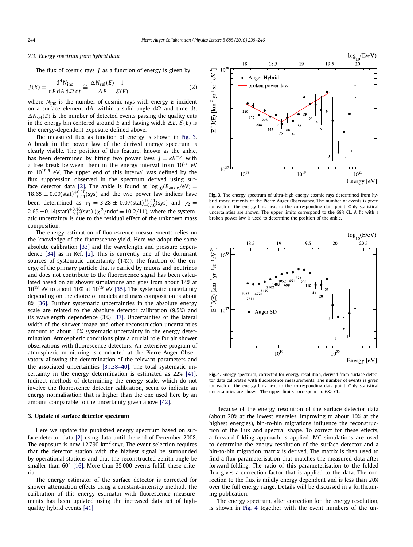#### *2.3. Energy spectrum from hybrid data*

The flux of cosmic rays *J* as a function of energy is given by

$$
J(E) = \frac{d^4 N_{\text{inc}}}{dE \, dA \, d\Omega \, dt} \approx \frac{\Delta N_{\text{sel}}(E)}{\Delta E} \frac{1}{\mathcal{E}(E)},
$$
(2)

where  $N_{inc}$  is the number of cosmic rays with energy  $E$  incident on a surface element d*A*, within a solid angle d*Ω* and time d*t*.  $\Delta N_{\text{sel}}(E)$  is the number of detected events passing the quality cuts in the energy bin centered around *E* and having width  $\Delta E$ .  $\mathcal{E}(E)$  is the energy-dependent exposure defined above.

The measured flux as function of energy is shown in Fig. 3. A break in the power law of the derived energy spectrum is clearly visible. The position of this feature, known as the ankle, has been determined by fitting two power laws  $J = kE^{-\gamma}$  with a free break between them in the energy interval from  $10^{18}$  eV to 1019*.*<sup>5</sup> eV. The upper end of this interval was defined by the flux suppression observed in the spectrum derived using sur-face detector data [\[2\].](#page-9-0) The ankle is found at  $log_{10}(E_{\text{ankle}}/eV)$  =  $18.65 \pm 0.09(stat)^{+0.10}_{-0.11}$ (sys) and the two power law indices have been determined as  $\gamma_1 = 3.28 \pm 0.07$ (stat)<sup>+0.11</sup><sub>-0.10</sub>(sys) and  $\gamma_2 =$  $2.65 \pm 0.14$ (stat)<sup> $+0.16$ </sup>(sys) ( $\chi^2$ /ndof = 10.2/11), where the system-<br>atic uncertainty is due to the residual effect of the unknown mass composition.

The energy estimation of fluorescence measurements relies on the knowledge of the fluorescence yield. Here we adopt the same absolute calibration [\[33\]](#page-9-0) and the wavelength and pressure dependence [\[34\]](#page-9-0) as in Ref. [\[2\].](#page-9-0) This is currently one of the dominant sources of systematic uncertainty (14%). The fraction of the energy of the primary particle that is carried by muons and neutrinos and does not contribute to the fluorescence signal has been calculated based on air shower simulations and goes from about 14% at  $10^{18}$  eV to about 10% at  $10^{19}$  eV [\[35\].](#page-9-0) The systematic uncertainty depending on the choice of models and mass composition is about 8% [\[36\].](#page-9-0) Further systematic uncertainties in the absolute energy scale are related to the absolute detector calibration (9.5%) and its wavelength dependence (3%) [\[37\].](#page-9-0) Uncertainties of the lateral width of the shower image and other reconstruction uncertainties amount to about 10% systematic uncertainty in the energy determination. Atmospheric conditions play a crucial role for air shower observations with fluorescence detectors. An extensive program of atmospheric monitoring is conducted at the Pierre Auger Observatory allowing the determination of the relevant parameters and the associated uncertainties [\[31,38–40\].](#page-9-0) The total systematic uncertainty in the energy determination is estimated as 22% [\[41\].](#page-9-0) Indirect methods of determining the energy scale, which do not involve the fluorescence detector calibration, seem to indicate an energy normalisation that is higher than the one used here by an amount comparable to the uncertainty given above [\[42\].](#page-9-0)

#### **3. Update of surface detector spectrum**

Here we update the published energy spectrum based on surface detector data [\[2\]](#page-9-0) using data until the end of December 2008. The exposure is now 12790  $km^2$  sr yr. The event selection requires that the detector station with the highest signal be surrounded by operational stations and that the reconstructed zenith angle be smaller than 60° [\[16\].](#page-9-0) More than 35 000 events fulfill these criteria.

The energy estimator of the surface detector is corrected for shower attenuation effects using a constant-intensity method. The calibration of this energy estimator with fluorescence measurements has been updated using the increased data set of highquality hybrid events [\[41\].](#page-9-0)



**Fig. 3.** The energy spectrum of ultra-high energy cosmic rays determined from hybrid measurements of the Pierre Auger Observatory. The number of events is given for each of the energy bins next to the corresponding data point. Only statistical uncertainties are shown. The upper limits correspond to the 68% CL. A fit with a broken power law is used to determine the position of the ankle.



**Fig. 4.** Energy spectrum, corrected for energy resolution, derived from surface detector data calibrated with fluorescence measurements. The number of events is given for each of the energy bins next to the corresponding data point. Only statistical uncertainties are shown. The upper limits correspond to 68% CL.

Because of the energy resolution of the surface detector data (about 20% at the lowest energies, improving to about 10% at the highest energies), bin-to-bin migrations influence the reconstruction of the flux and spectral shape. To correct for these effects, a forward-folding approach is applied. MC simulations are used to determine the energy resolution of the surface detector and a bin-to-bin migration matrix is derived. The matrix is then used to find a flux parameterisation that matches the measured data after forward-folding. The ratio of this parameterisation to the folded flux gives a correction factor that is applied to the data. The correction to the flux is mildly energy dependent and is less than 20% over the full energy range. Details will be discussed in a forthcoming publication.

The energy spectrum, after correction for the energy resolution, is shown in Fig. 4 together with the event numbers of the un-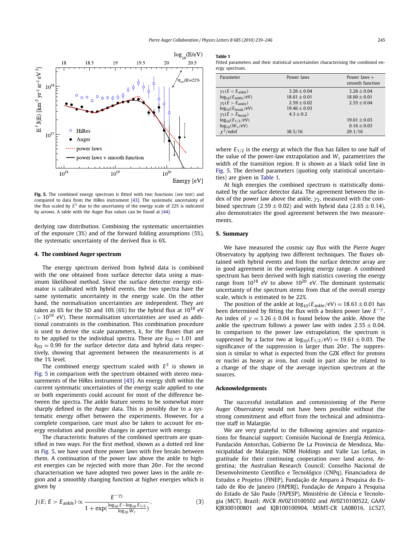

**Fig. 5.** The combined energy spectrum is fitted with two functions (see text) and compared to data from the HiRes instrument [\[43\].](#page-9-0) The systematic uncertainty of the flux scaled by  $E^3$  due to the uncertainty of the energy scale of 22% is indicated by arrows. A table with the Auger flux values can be found at [\[44\].](#page-9-0)

derlying raw distribution. Combining the systematic uncertainties of the exposure (3%) and of the forward folding assumptions (5%), the systematic uncertainty of the derived flux is 6%.

#### **4. The combined Auger spectrum**

The energy spectrum derived from hybrid data is combined with the one obtained from surface detector data using a maximum likelihood method. Since the surface detector energy estimator is calibrated with hybrid events, the two spectra have the same systematic uncertainty in the energy scale. On the other hand, the normalisation uncertainties are independent. They are taken as 6% for the SD and 10% (6%) for the hybrid flux at  $10^{18}$  eV (*>* 1019 eV). These normalisation uncertainties are used as additional constraints in the combination. This combination procedure is used to derive the scale parameters, *k*, for the fluxes that are to be applied to the individual spectra. These are  $k_{SD} = 1.01$  and  $k_{FD} = 0.99$  for the surface detector data and hybrid data respectively, showing that agreement between the measurements is at the 1% level.

The combined energy spectrum scaled with  $E<sup>3</sup>$  is shown in Fig. 5 in comparison with the spectrum obtained with stereo measurements of the HiRes instrument [\[43\].](#page-9-0) An energy shift within the current systematic uncertainties of the energy scale applied to one or both experiments could account for most of the difference between the spectra. The ankle feature seems to be somewhat more sharply defined in the Auger data. This is possibly due to a systematic energy offset between the experiments. However, for a complete comparison, care must also be taken to account for energy resolution and possible changes in aperture with energy.

The characteristic features of the combined spectrum are quantified in two ways. For the first method, shown as a dotted red line in Fig. 5, we have used three power laws with free breaks between them. A continuation of the power law above the ankle to highest energies can be rejected with more than 20*σ* . For the second characterisation we have adopted two power laws in the ankle region and a smoothly changing function at higher energies which is given by

$$
J(E; E > E_{ankle}) \propto \frac{E^{-\gamma_2}}{1 + \exp(\frac{\log_{10} E - \log_{10} E_{1/2}}{\log_{10} W_c})},
$$
(3)

#### **Table 1**

Fitted parameters and their statistical uncertainties characterising the combined energy spectrum.

| Parameter                        | Power laws       | Power laws $+$<br>smooth function |
|----------------------------------|------------------|-----------------------------------|
| $\gamma_1(E < E_{\text{ankle}})$ | $3.26 + 0.04$    | $3.26 + 0.04$                     |
| $log_{10}(E_{\text{ankle}}/eV)$  | $18.61 + 0.01$   | $18.60 + 0.01$                    |
| $\gamma_2(E > E_{\text{ankle}})$ | $2.59 + 0.02$    | $2.55 + 0.04$                     |
| $log_{10}(E_{break}/eV)$         | $19.46 \pm 0.03$ |                                   |
| $\gamma_3(E > E_{\text{break}})$ | $4.3 + 0.2$      |                                   |
| $log_{10}(E_{1/2}/eV)$           |                  | $19.61 + 0.03$                    |
| $log_{10}(W_c/eV)$               |                  | $0.16 + 0.03$                     |
| $x^2$ /ndof                      | 38.5/16          | 29.1/16                           |

where  $E_{1/2}$  is the energy at which the flux has fallen to one half of the value of the power-law extrapolation and  $W_c$  parametrizes the width of the transition region. It is shown as a black solid line in Fig. 5. The derived parameters (quoting only statistical uncertainties) are given in Table 1.

At high energies the combined spectrum is statistically dominated by the surface detector data. The agreement between the index of the power law above the ankle, *γ*2, measured with the combined spectrum  $(2.59 \pm 0.02)$  and with hybrid data  $(2.65 \pm 0.14)$ , also demonstrates the good agreement between the two measurements.

#### **5. Summary**

We have measured the cosmic ray flux with the Pierre Auger Observatory by applying two different techniques. The fluxes obtained with hybrid events and from the surface detector array are in good agreement in the overlapping energy range. A combined spectrum has been derived with high statistics covering the energy range from  $10^{18}$  eV to above  $10^{20}$  eV. The dominant systematic uncertainty of the spectrum stems from that of the overall energy scale, which is estimated to be 22%.

The position of the ankle at  $log_{10}(E_{\text{ankle}}/eV) = 18.61 \pm 0.01$  has been determined by fitting the flux with a broken power law *E*−*<sup>γ</sup>* . An index of  $\gamma = 3.26 \pm 0.04$  is found below the ankle. Above the ankle the spectrum follows a power law with index  $2.55 \pm 0.04$ . In comparison to the power law extrapolation, the spectrum is suppressed by a factor two at  $log_{10}(E_{1/2}/eV) = 19.61 \pm 0.03$ . The significance of the suppression is larger than  $20\sigma$ . The suppression is similar to what is expected from the GZK effect for protons or nuclei as heavy as iron, but could in part also be related to a change of the shape of the average injection spectrum at the sources.

#### **Acknowledgements**

The successful installation and commissioning of the Pierre Auger Observatory would not have been possible without the strong commitment and effort from the technical and administrative staff in Malargüe.

We are very grateful to the following agencies and organizations for financial support: Comisión Nacional de Energía Atómica, Fundación Antorchas, Gobierno De La Provincia de Mendoza, Municipalidad de Malargüe, NDM Holdings and Valle Las Leñas, in gratitude for their continuing cooperation over land access, Argentina; the Australian Research Council; Conselho Nacional de Desenvolvimento Científico e Tecnológico (CNPq), Financiadora de Estudos e Projetos (FINEP), Fundação de Amparo à Pesquisa do Estado de Rio de Janeiro (FAPERJ), Fundação de Amparo à Pesquisa do Estado de São Paulo (FAPESP), Ministério de Ciência e Tecnologia (MCT), Brazil; AVCR AV0Z10100502 and AV0Z10100522, GAAV KJB300100801 and KJB100100904, MSMT-CR LA08016, LC527,